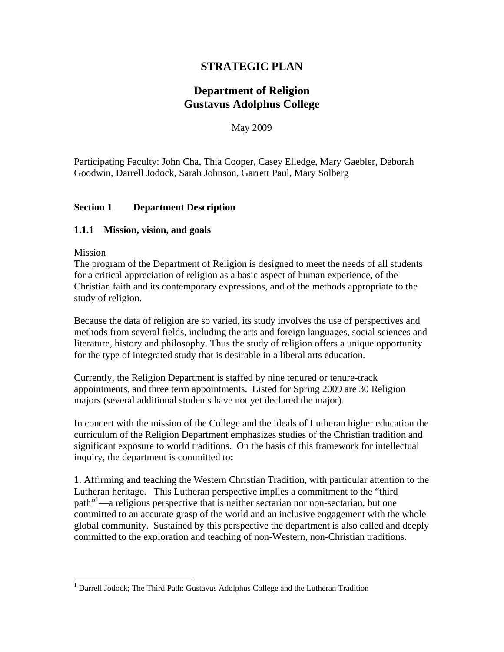# **STRATEGIC PLAN**

# **Department of Religion Gustavus Adolphus College**

May 2009

Participating Faculty: John Cha, Thia Cooper, Casey Elledge, Mary Gaebler, Deborah Goodwin, Darrell Jodock, Sarah Johnson, Garrett Paul, Mary Solberg

## **Section 1 Department Description**

#### **1.1.1 Mission, vision, and goals**

#### Mission

 $\overline{a}$ 

The program of the Department of Religion is designed to meet the needs of all students for a critical appreciation of religion as a basic aspect of human experience, of the Christian faith and its contemporary expressions, and of the methods appropriate to the study of religion.

Because the data of religion are so varied, its study involves the use of perspectives and methods from several fields, including the arts and foreign languages, social sciences and literature, history and philosophy. Thus the study of religion offers a unique opportunity for the type of integrated study that is desirable in a liberal arts education.

Currently, the Religion Department is staffed by nine tenured or tenure-track appointments, and three term appointments. Listed for Spring 2009 are 30 Religion majors (several additional students have not yet declared the major).

In concert with the mission of the College and the ideals of Lutheran higher education the curriculum of the Religion Department emphasizes studies of the Christian tradition and significant exposure to world traditions. On the basis of this framework for intellectual inquiry, the department is committed to**:**

1. Affirming and teaching the Western Christian Tradition, with particular attention to the Lutheran heritage. This Lutheran perspective implies a commitment to the "third path"1 —a religious perspective that is neither sectarian nor non-sectarian, but one committed to an accurate grasp of the world and an inclusive engagement with the whole global community. Sustained by this perspective the department is also called and deeply committed to the exploration and teaching of non-Western, non-Christian traditions.

<sup>&</sup>lt;sup>1</sup> Darrell Jodock; The Third Path: Gustavus Adolphus College and the Lutheran Tradition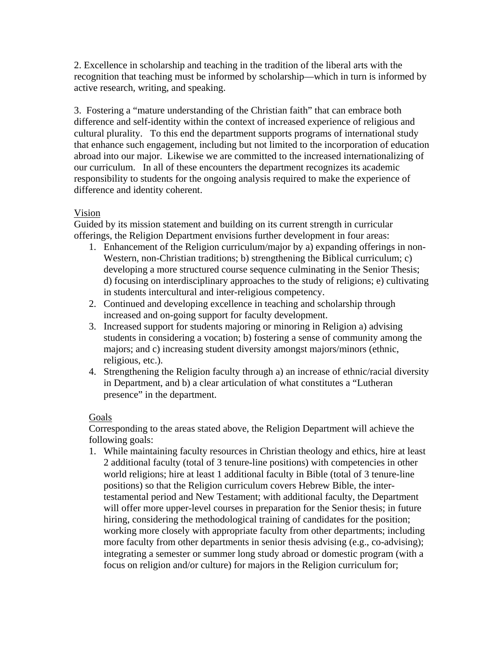2. Excellence in scholarship and teaching in the tradition of the liberal arts with the recognition that teaching must be informed by scholarship—which in turn is informed by active research, writing, and speaking.

3. Fostering a "mature understanding of the Christian faith" that can embrace both difference and self-identity within the context of increased experience of religious and cultural plurality. To this end the department supports programs of international study that enhance such engagement, including but not limited to the incorporation of education abroad into our major. Likewise we are committed to the increased internationalizing of our curriculum. In all of these encounters the department recognizes its academic responsibility to students for the ongoing analysis required to make the experience of difference and identity coherent.

## Vision

Guided by its mission statement and building on its current strength in curricular offerings, the Religion Department envisions further development in four areas:

- 1. Enhancement of the Religion curriculum/major by a) expanding offerings in non-Western, non-Christian traditions; b) strengthening the Biblical curriculum; c) developing a more structured course sequence culminating in the Senior Thesis; d) focusing on interdisciplinary approaches to the study of religions; e) cultivating in students intercultural and inter-religious competency.
- 2. Continued and developing excellence in teaching and scholarship through increased and on-going support for faculty development.
- 3. Increased support for students majoring or minoring in Religion a) advising students in considering a vocation; b) fostering a sense of community among the majors; and c) increasing student diversity amongst majors/minors (ethnic, religious, etc.).
- 4. Strengthening the Religion faculty through a) an increase of ethnic/racial diversity in Department, and b) a clear articulation of what constitutes a "Lutheran presence" in the department.

## Goals

Corresponding to the areas stated above, the Religion Department will achieve the following goals:

1. While maintaining faculty resources in Christian theology and ethics, hire at least 2 additional faculty (total of 3 tenure-line positions) with competencies in other world religions; hire at least 1 additional faculty in Bible (total of 3 tenure-line positions) so that the Religion curriculum covers Hebrew Bible, the intertestamental period and New Testament; with additional faculty, the Department will offer more upper-level courses in preparation for the Senior thesis; in future hiring, considering the methodological training of candidates for the position; working more closely with appropriate faculty from other departments; including more faculty from other departments in senior thesis advising (e.g., co-advising); integrating a semester or summer long study abroad or domestic program (with a focus on religion and/or culture) for majors in the Religion curriculum for;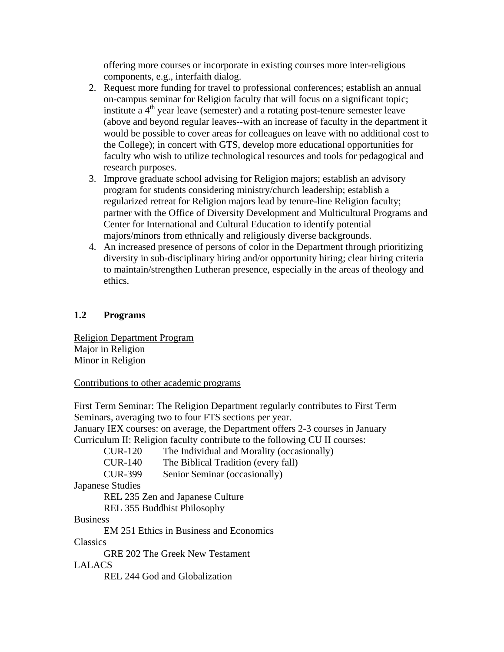offering more courses or incorporate in existing courses more inter-religious components, e.g., interfaith dialog.

- 2. Request more funding for travel to professional conferences; establish an annual on-campus seminar for Religion faculty that will focus on a significant topic; institute a  $4<sup>th</sup>$  year leave (semester) and a rotating post-tenure semester leave (above and beyond regular leaves--with an increase of faculty in the department it would be possible to cover areas for colleagues on leave with no additional cost to the College); in concert with GTS, develop more educational opportunities for faculty who wish to utilize technological resources and tools for pedagogical and research purposes.
- 3. Improve graduate school advising for Religion majors; establish an advisory program for students considering ministry/church leadership; establish a regularized retreat for Religion majors lead by tenure-line Religion faculty; partner with the Office of Diversity Development and Multicultural Programs and Center for International and Cultural Education to identify potential majors/minors from ethnically and religiously diverse backgrounds.
- 4. An increased presence of persons of color in the Department through prioritizing diversity in sub-disciplinary hiring and/or opportunity hiring; clear hiring criteria to maintain/strengthen Lutheran presence, especially in the areas of theology and ethics.

## **1.2 Programs**

Religion Department Program Major in Religion Minor in Religion

Contributions to other academic programs

First Term Seminar: The Religion Department regularly contributes to First Term Seminars, averaging two to four FTS sections per year.

January IEX courses: on average, the Department offers 2-3 courses in January Curriculum II: Religion faculty contribute to the following CU II courses:

CUR-120 The Individual and Morality (occasionally)

CUR-140 The Biblical Tradition (every fall)

CUR-399 Senior Seminar (occasionally)

Japanese Studies

REL 235 Zen and Japanese Culture

REL 355 Buddhist Philosophy

## Business

EM 251 Ethics in Business and Economics

## **Classics**

GRE 202 The Greek New Testament

LALACS

REL 244 God and Globalization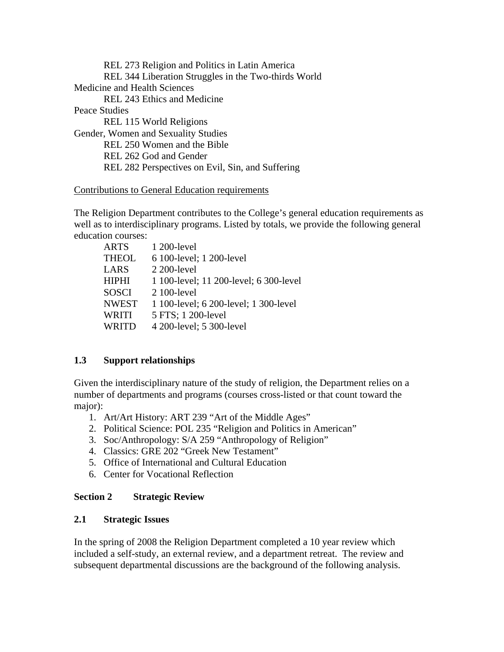REL 273 Religion and Politics in Latin America REL 344 Liberation Struggles in the Two-thirds World Medicine and Health Sciences REL 243 Ethics and Medicine Peace Studies REL 115 World Religions Gender, Women and Sexuality Studies REL 250 Women and the Bible REL 262 God and Gender REL 282 Perspectives on Evil, Sin, and Suffering

#### Contributions to General Education requirements

The Religion Department contributes to the College's general education requirements as well as to interdisciplinary programs. Listed by totals, we provide the following general education courses:

| <b>ARTS</b>  | 1 200-level                            |
|--------------|----------------------------------------|
| <b>THEOL</b> | 6 100-level; 1 200-level               |
| <b>LARS</b>  | 2 200-level                            |
| <b>HIPHI</b> | 1 100-level; 11 200-level; 6 300-level |
| <b>SOSCI</b> | 2 100-level                            |
| <b>NWEST</b> | 1 100-level; 6 200-level; 1 300-level  |
| WRITI        | 5 FTS; 1 200-level                     |
| WRITD        | 4 200-level; 5 300-level               |

## **1.3 Support relationships**

Given the interdisciplinary nature of the study of religion, the Department relies on a number of departments and programs (courses cross-listed or that count toward the major):

- 1. Art/Art History: ART 239 "Art of the Middle Ages"
- 2. Political Science: POL 235 "Religion and Politics in American"
- 3. Soc/Anthropology: S/A 259 "Anthropology of Religion"
- 4. Classics: GRE 202 "Greek New Testament"
- 5. Office of International and Cultural Education
- 6. Center for Vocational Reflection

## **Section 2 Strategic Review**

## **2.1 Strategic Issues**

In the spring of 2008 the Religion Department completed a 10 year review which included a self-study, an external review, and a department retreat. The review and subsequent departmental discussions are the background of the following analysis.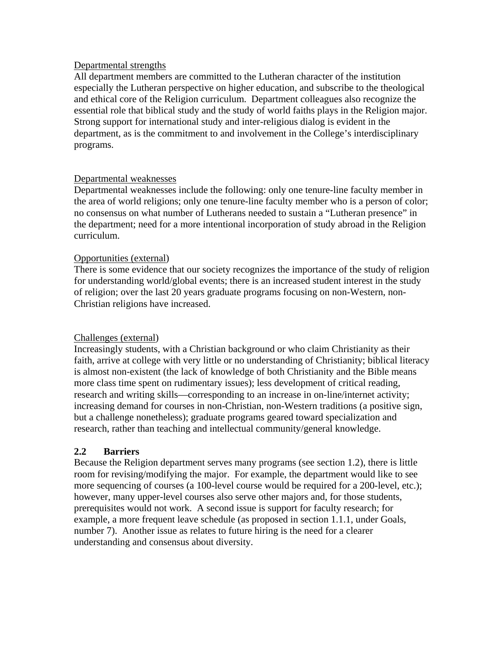#### Departmental strengths

All department members are committed to the Lutheran character of the institution especially the Lutheran perspective on higher education, and subscribe to the theological and ethical core of the Religion curriculum. Department colleagues also recognize the essential role that biblical study and the study of world faiths plays in the Religion major. Strong support for international study and inter-religious dialog is evident in the department, as is the commitment to and involvement in the College's interdisciplinary programs.

#### Departmental weaknesses

Departmental weaknesses include the following: only one tenure-line faculty member in the area of world religions; only one tenure-line faculty member who is a person of color; no consensus on what number of Lutherans needed to sustain a "Lutheran presence" in the department; need for a more intentional incorporation of study abroad in the Religion curriculum.

#### Opportunities (external)

There is some evidence that our society recognizes the importance of the study of religion for understanding world/global events; there is an increased student interest in the study of religion; over the last 20 years graduate programs focusing on non-Western, non-Christian religions have increased.

#### Challenges (external)

Increasingly students, with a Christian background or who claim Christianity as their faith, arrive at college with very little or no understanding of Christianity; biblical literacy is almost non-existent (the lack of knowledge of both Christianity and the Bible means more class time spent on rudimentary issues); less development of critical reading, research and writing skills—corresponding to an increase in on-line/internet activity; increasing demand for courses in non-Christian, non-Western traditions (a positive sign, but a challenge nonetheless); graduate programs geared toward specialization and research, rather than teaching and intellectual community/general knowledge.

#### **2.2 Barriers**

Because the Religion department serves many programs (see section 1.2), there is little room for revising/modifying the major. For example, the department would like to see more sequencing of courses (a 100-level course would be required for a 200-level, etc.); however, many upper-level courses also serve other majors and, for those students, prerequisites would not work. A second issue is support for faculty research; for example, a more frequent leave schedule (as proposed in section 1.1.1, under Goals, number 7). Another issue as relates to future hiring is the need for a clearer understanding and consensus about diversity.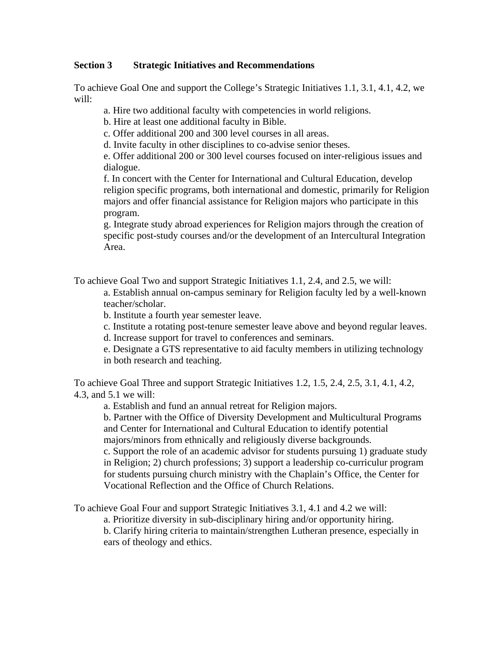### **Section 3 Strategic Initiatives and Recommendations**

To achieve Goal One and support the College's Strategic Initiatives 1.1, 3.1, 4.1, 4.2, we will:

a. Hire two additional faculty with competencies in world religions.

b. Hire at least one additional faculty in Bible.

c. Offer additional 200 and 300 level courses in all areas.

d. Invite faculty in other disciplines to co-advise senior theses.

e. Offer additional 200 or 300 level courses focused on inter-religious issues and dialogue.

f. In concert with the Center for International and Cultural Education, develop religion specific programs, both international and domestic, primarily for Religion majors and offer financial assistance for Religion majors who participate in this program.

g. Integrate study abroad experiences for Religion majors through the creation of specific post-study courses and/or the development of an Intercultural Integration Area.

To achieve Goal Two and support Strategic Initiatives 1.1, 2.4, and 2.5, we will:

a. Establish annual on-campus seminary for Religion faculty led by a well-known teacher/scholar.

b. Institute a fourth year semester leave.

c. Institute a rotating post-tenure semester leave above and beyond regular leaves.

d. Increase support for travel to conferences and seminars.

e. Designate a GTS representative to aid faculty members in utilizing technology in both research and teaching.

To achieve Goal Three and support Strategic Initiatives 1.2, 1.5, 2.4, 2.5, 3.1, 4.1, 4.2, 4.3, and 5.1 we will:

a. Establish and fund an annual retreat for Religion majors.

b. Partner with the Office of Diversity Development and Multicultural Programs and Center for International and Cultural Education to identify potential majors/minors from ethnically and religiously diverse backgrounds.

c. Support the role of an academic advisor for students pursuing 1) graduate study in Religion; 2) church professions; 3) support a leadership co-curriculur program for students pursuing church ministry with the Chaplain's Office, the Center for Vocational Reflection and the Office of Church Relations.

To achieve Goal Four and support Strategic Initiatives 3.1, 4.1 and 4.2 we will:

a. Prioritize diversity in sub-disciplinary hiring and/or opportunity hiring.

b. Clarify hiring criteria to maintain/strengthen Lutheran presence, especially in ears of theology and ethics.